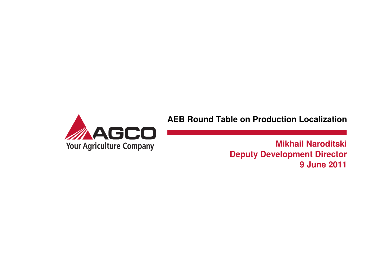

**AEB Round Table on Production Localization** 

**Mikhail Naroditski Deputy Development Director9 June 2011**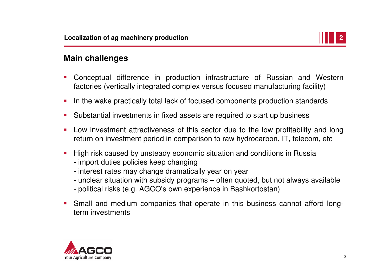

### **Main challenges**

- L Conceptual difference in production infrastructure of Russian and Western factories (vertically integrated complex versus focused manufacturing facility)
- $\mathcal{L}_{\mathcal{A}}$ In the wake practically total lack of focused components production standards
- $\mathcal{L}_{\mathcal{A}}$ Substantial investments in fixed assets are required to start up business
- $\mathcal{L}_{\mathcal{A}}$  Low investment attractiveness of this sector due to the low profitability and long return on investment period in comparison to raw hydrocarbon, IT, telecom, etc
- $\mathcal{L}_{\mathcal{A}}$  High risk caused by unsteady economic situation and conditions in Russia
	- import duties policies keep changing
	- interest rates may change dramatically year on year
	- unclear situation with subsidy programs often quoted, but not always available
	- political risks (e.g. AGCO's own experience in Bashkortostan)
- $\mathcal{L}_{\mathcal{A}}$  Small and medium companies that operate in this business cannot afford longterm investments

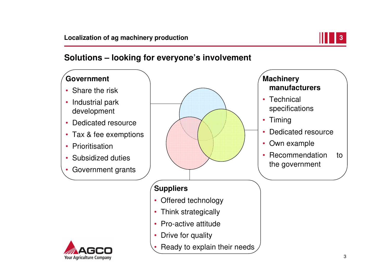

### **Solutions – looking for everyone's involvement**

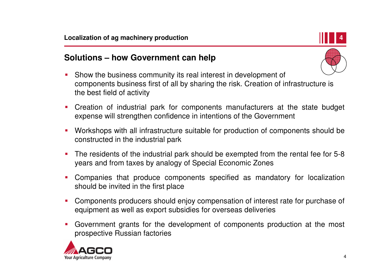

### **Solutions – how Government can help**

- $\mathcal{L}_{\mathcal{A}}$  Show the business community its real interest in development of components business first of all by sharing the risk. Creation of infrastructure is the best field of activity
- $\overline{\phantom{a}}$  Creation of industrial park for components manufacturers at the state budget expense will strengthen confidence in intentions of the Government
- $\mathcal{L}_{\mathcal{A}}$  Workshops with all infrastructure suitable for production of components should be constructed in the industrial park
- E The residents of the industrial park should be exempted from the rental fee for 5-8 years and from taxes by analogy of Special Economic Zones
- $\mathcal{L}_{\mathcal{A}}$  Companies that produce components specified as mandatory for localization should be invited in the first place
- $\mathcal{L}_{\mathcal{A}}$  Components producers should enjoy compensation of interest rate for purchase of equipment as well as export subsidies for overseas deliveries
- E Government grants for the development of components production at the most prospective Russian factories

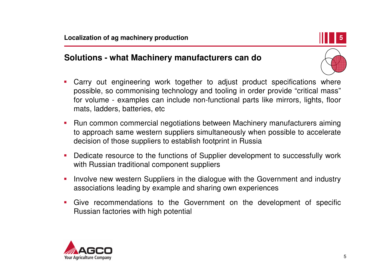

### **Solutions - what Machinery manufacturers can do**

- $\mathcal{L}_{\mathcal{A}}$  Carry out engineering work together to adjust product specifications where possible, so commonising technology and tooling in order provide "critical mass" for volume - examples can include non-functional parts like mirrors, lights, floor mats, ladders, batteries, etc
- $\mathcal{L}_{\mathcal{A}}$  Run common commercial negotiations between Machinery manufacturers aiming to approach same western suppliers simultaneously when possible to accelerate decision of those suppliers to establish footprint in Russia
- $\blacksquare$  Dedicate resource to the functions of Supplier development to successfully work with Russian traditional component suppliers
- $\mathcal{L}_{\mathcal{A}}$  Involve new western Suppliers in the dialogue with the Government and industry associations leading by example and sharing own experiences
- $\mathcal{L}_{\mathcal{A}}$  Give recommendations to the Government on the development of specific Russian factories with high potential

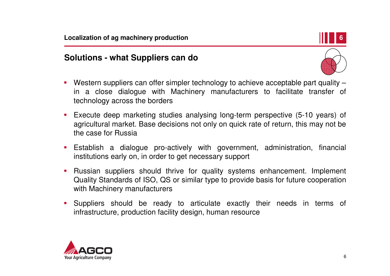## **6**

### **Solutions - what Suppliers can do**



- $\mathcal{L}_{\mathcal{A}}$ Western suppliers can offer simpler technology to achieve acceptable part quality – in a close dialogue with Machinery manufacturers to facilitate transfer of technology across the borders
- $\mathcal{L}_{\mathcal{A}}$  Execute deep marketing studies analysing long-term perspective (5-10 years) of agricultural market. Base decisions not only on quick rate of return, this may not be the case for Russia
- $\blacksquare$  Establish a dialogue pro-actively with government, administration, financial institutions early on, in order to get necessary support
- $\mathcal{L}_{\mathcal{A}}$  Russian suppliers should thrive for quality systems enhancement. Implement Quality Standards of ISO, QS or similar type to provide basis for future cooperation with Machinery manufacturers
- $\mathcal{L}_{\mathcal{A}}$  Suppliers should be ready to articulate exactly their needs in terms of infrastructure, production facility design, human resource

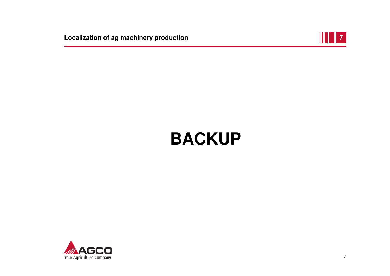**Localization of ag machinery production**



# **BACKUP**